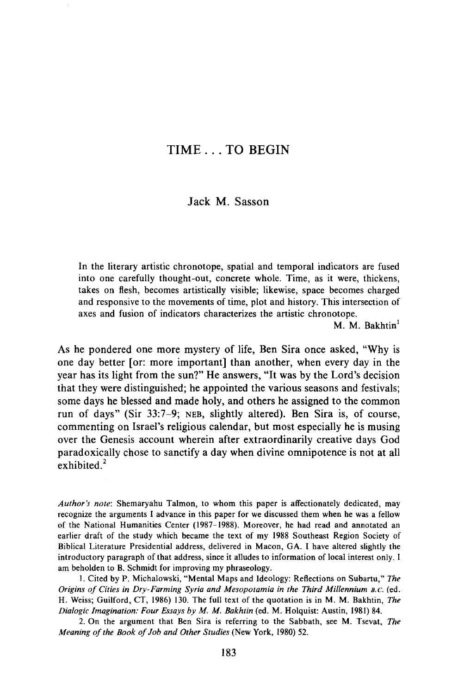# TIME ... TO BEGIN

# Jack M. Sasson

In the literary artistic chronotope, spatial and temporal indicators are fused into one carefully thought-out, concrete whole. Time, as it were, thickens, takes on flesh, becomes artistically visible; likewise, space becomes charged and responsive to the movements of time, plot and history. This intersection of axes and fusion of indicators characterizes the artistic chronotope.

M. M. Bakhtin<sup>1</sup>

As he pondered one more mystery of life, Ben Sira once asked, "Why is one day better [or: more important] than another, when every day in the year has its light from the sun?" He answers, "It was by the Lord's decision that they were distinguished; he appointed the various seasons and festivals; some days he blessed and made holy, and others he assigned to the common run of days" (Sir 33:7-9; NEB, slightly altered). Ben Sira is, of course, commenting on Israel's religious calendar, but most especially he is musing over the Genesis account wherein after extraordinarily creative days God paradoxically chose to sanctify a day when divine omnipotence is not at all exhibited. $2$ 

*Author's note:* Shemaryahu Talmon, to whom this paper is affectionately dedicated, may recognize the arguments I advance in this paper for we discussed them when he was a fellow of the National Humanities Center (1987-1988). Moreover, he had read and annotated an earlier draft of the study which became the text of my 1988 Southeast Region Society of Biblical Literature Presidential address, delivered in Macon, GA. I have altered slightly the introductory paragraph of that address, since it alludes to information of local interest only. I am beholden to B. Schmidt for improving my phraseology.

\. Cited by P. Michalowski, "Mental Maps and Ideology: Reflections on Subartu," *The Origins of Cities in Dry-Farming Syria and Mesopotamia in the Third Millennium* B.C. (ed. H. Weiss; Guilford, CT, 1986) 130. The full text of the quotation is in M. M. Bakhtin, *The Dialogic Imagination: Four Essays by M. M. Bakhtin* (ed. M. Holquist: Austin, 1981) 84.

2. On the argument that Ben Sira is referring to the Sabbath, see M. Tsevat, *The Meaning of the Book of Job and Other Studies* (New York, 1980) 52.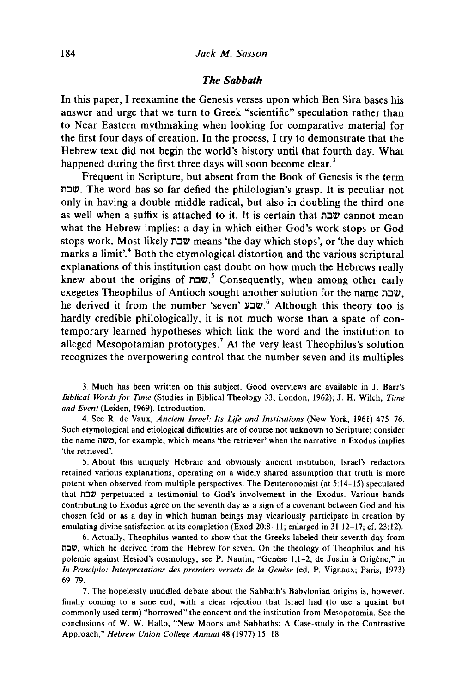#### *The Sabbath*

In this paper, I reexamine the Genesis verses upon which Ben Sira bases his answer and urge that we turn to Greek "scientific" speculation rather than to Near Eastern mythmaking when looking for comparative material for the first four days of creation. In the process, I try to demonstrate that the Hebrew text did not begin the world's history until that fourth day. What happened during the first three days will soon become clear.<sup>3</sup>

Frequent in Scripture, but absent from the Book of Genesis is the term l'1:IIV. The word has so far defied the philologian's grasp. It is peculiar not only in having a double middle radical, but also in doubling the third one as well when a suffix is attached to it. It is certain that  $\mathbf{u} \in \mathbb{R}^n$  cannot mean what the Hebrew implies: a day in which either God's work stops or God stops work. Most likely שבת means 'the day which stops', or 'the day which marks a limit'.<sup>4</sup> Both the etymological distortion and the various scriptural explanations of this institution cast doubt on how much the Hebrews really knew about the origins of שבת<sup>5</sup> Consequently, when among other early exegetes Theophilus of Antioch sought another solution for the name  $\overline{v}$ , he derived it from the number 'seven' שבע.<sup>6</sup> Although this theory too is hardly credible philologically, it is not much worse than a spate of contemporary learned hypotheses which link the word and the institution to alleged Mesopotamian prototypes.<sup>7</sup> At the very least Theophilus's solution recognizes the overpowering control that the number seven and its multiples

3. Much has been written on this subject. Good overviews are available in J. Barr's *Biblical Words for Time* (Studies in Biblical Theology 33; London, 1962); J. H. Wilch, *Time and Event* (Leiden, 1969), Introduction.

4. See R. de Vaux, *Ancient Israel: Its Life and Institutions* (New York, 1961) 475-76. Such etymological and etiological difficulties are of course not unknown to Scripture; consider the name cows, for example, which means 'the retriever' when the narrative in Exodus implies 'the retrieved'.

5. About this uniquely Hebraic and obviously ancient institution, Israel's redactors retained various explanations, operating on a widely shared assumption that truth is more potent when observed from mUltiple perspectives. The Deuteronomist (at 5:14-15) speculated that n:JlZI perpetuated a testimonial to God's involvement in the Exodus. Various hands contributing to Exodus agree on the seventh day as a sign of a covenant between God and his chosen fold or as a day in which human beings may vicariously participate in creation by emulating divine satisfaction at its completion (Exod 20:8-11; enlarged in 31:12-17; cf. 23:12).

6. Actually, Theophilus wanted to show that the Greeks labeled their seventh day from שבח, which he derived from the Hebrew for seven. On the theology of Theophilus and his polemic against Hesiod's cosmology, see P. Nautin, "Genèse 1,1-2, de Justin à Origène," in *In Principia: Interpretations des premiers versets de la Genese* (ed. P. Vignaux; Paris, 1973) 69-79.

7. The hopelessly muddled debate about the Sabbath's Babylonian origins is, however, finally coming to a sane end, with a clear rejection that Israel had (to use a quaint but commonly used term) "borrowed" the concept and the institution from Mesopotamia. See the conclusions of W. W. Hallo, "New Moons and Sabbaths: A Case-study in the Contrastive Approach," *Hebrew Union College Annual* 48 (1977) 15-18.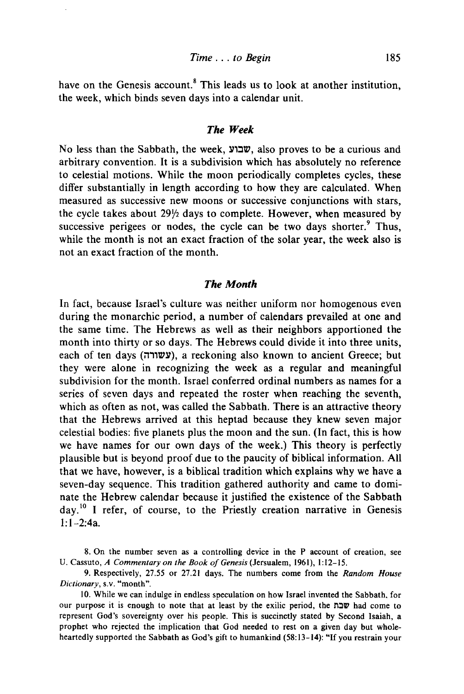have on the Genesis account.<sup>8</sup> This leads us to look at another institution, the week, which binds seven days into a calendar unit.

#### *The Week*

 $\overline{N}$ o less than the Sabbath, the week, שבוע, also proves to be a curious and arbitrary convention. It is a subdivision which has absolutely no reference to celestial motions. While the moon periodically completes cycles, these differ substantially in length according to how they are calculated. When measured as successive new moons or successive conjunctions with stars, the cycle takes about *29Y2* days to complete. However, when measured by successive perigees or nodes, the cycle can be two days shorter. $9$  Thus, while the month is not an exact fraction of the solar year, the week also is not an exact fraction of the month.

#### *The Month*

In fact, because Israel's culture was neither uniform nor homogenous even during the monarchic period, a number of calendars prevailed at one and the same time. The Hebrews as well as their neighbors apportioned the month into thirty or so days. The Hebrews could divide it into three units, each of ten days (עשורה), a reckoning also known to ancient Greece; but they were alone in recognizing the week as a regular and meaningful subdivision for the month. Israel conferred ordinal numbers as names for a series of seven days and repeated the roster when reaching the seventh, which as often as not, was called the Sabbath. There is an attractive theory that the Hebrews arrived at this heptad because they knew seven major celestial bodies: five planets plus the moon and the sun. (In fact, this is how we have names for our own days of the week.) This theory is perfectly plausible but is beyond proof due to the paucity of biblical information. All that we have, however, is a biblical tradition which explains why we have a seven-day sequence. This tradition gathered authority and came to dominate the Hebrew calendar because it justified the existence of the Sabbath  $day<sup>10</sup>$  I refer, of course, to the Priestly creation narrative in Genesis  $1: 1-2: 4a.$ 

8. On the number seven as a controlling device in the P account of creation, see U. Cassuto, *A Commentary on the Book of Genesis* (Jersualem, 1961), 1:12-15.

9. Respectively, 27.55 or 27.21 days. The numbers come from the *Random House Dictionary,* s.v. "month".

10. While we can indulge in endless speculation on how Israel invented the Sabbath, for our purpose it is enough to note that at least by the exilic period, the  $\pi$  $\alpha$  had come to represent God's sovereignty over his people. This is succinctly stated by Second Isaiah, a prophet who rejected the implication that God needed to rest on a given day but wholeheartedly supported the Sabbath as God's gift to humankind (58:13-14): "If you restrain your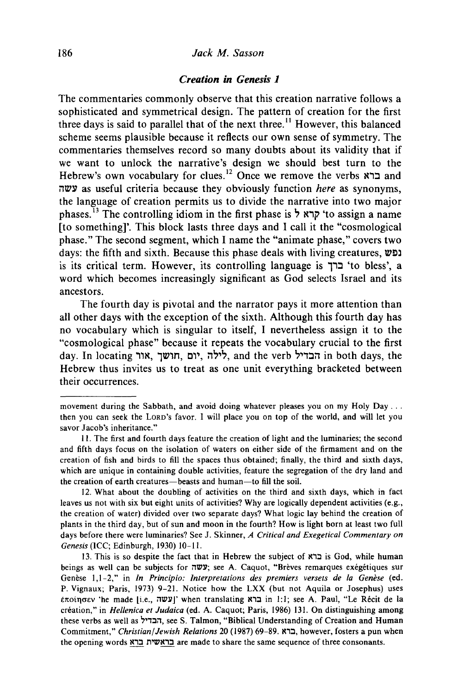## 186 *Jack M. Sasson*

# *Creation in Genesis 1*

The commentaries commonly observe that this creation narrative follows a sophisticated and symmetrical design. The pattern of creation for the first three days is said to parallel that of the next three.<sup>11</sup> However, this balanced scheme seems plausible because it reflects our own sense of symmetry. The commentaries themselves record so many doubts about its validity that if we want to unlock the narrative's design we should best turn to the Hebrew's own vocabulary for clues.<sup>12</sup> Once we remove the verbs  $x$ ברא and illlJY as useful criteria because they obviously function *here* as synonyms, the language of creation permits us to divide the narrative into two major phases.<sup>13</sup> The controlling idiom in the first phase is  $\frac{1}{2}$  to assign a name [to something]'. This block lasts three days and I call it the "cosmological phase." The second segment, which I name the "animate phase," covers two days: the fifth and sixth. Because this phase deals with living creatures,  $\nu$ ופ is its critical term. However, its controlling language is  $T$ ברך 'to bless', a word which becomes increasingly significant as God selects Israel and its ancestors.

The fourth day is pivotal and the narrator pays it more attention than all other days with the exception of the sixth. Although this fourth day has no vocabulary which is singular to itself, I nevertheless assign it to the "cosmological phase" because it repeats the vocabulary crucial to the first day. In locating אור, יום, חושך, יום, in both days, the Hebrew thus invites us to treat as one unit everything bracketed between their occurrences.

movement during the Sabbath, and avoid doing whatever pleases you on my Holy Day ... then you can seek the LORD'S favor. I will place you on top of the world, and will let you savor Jacob's inheritance."

II. The first and fourth days feature the creation of light and the luminaries; the second and fifth days focus on the isolation of waters on either side of the firmament and on the creation of fish and birds to fill the spaces thus obtained; finally, the third and sixth days, which are unique in containing double activities, feature the segregation of the dry land and the creation of earth creatures-beasts and human-to fill the soil.

<sup>12.</sup> What about the doubling of activities on the third and sixth days, which in fact leaves us not with six but eight units of activities? Why are logically dependent activities (e.g., the creation of water) divided over two separate days? What logic lay behind the creation of plants in the third day, but of sun and moon in the fourth? How is light born at least two full days before there were luminaries? See J. Skinner, *A Critical and Exegetical Commentary on Genesis* (lCC; Edinburgh, 1930) 10-11.

<sup>13.</sup> This is so despite the fact that in Hebrew the subject of  $\boldsymbol{\kappa}$  as God, while human beings as well can be subjects for  $\overline{w}$ y; see A. Caquot, "Brèves remarques exégétiques sur Genèse 1,1-2," in *In Principio: Interpretations des premiers versets de la Genèse* (ed. P. Vignaux; Paris, 1973) 9-21. Notice how the LXX (but not Aquila or Josephus) uses  $\epsilon \pi$ (עשה) when translating  $\pi$ in 1:1; see A. Paul, "Le Récit de la creation," in *Hellenica et Judaica* (ed. A. Caquot; Paris, 1986) 131. On distinguishing among these verbs as well as 'הבדיל, see S. Talmon, "Biblical Understanding of Creation and Human Commitment," *Christian/Jewish Relations* 20 (1987) 69-89. I(,:J, however, fosters a pun when the opening words בראשית ברא are made to share the same sequence of three consonants.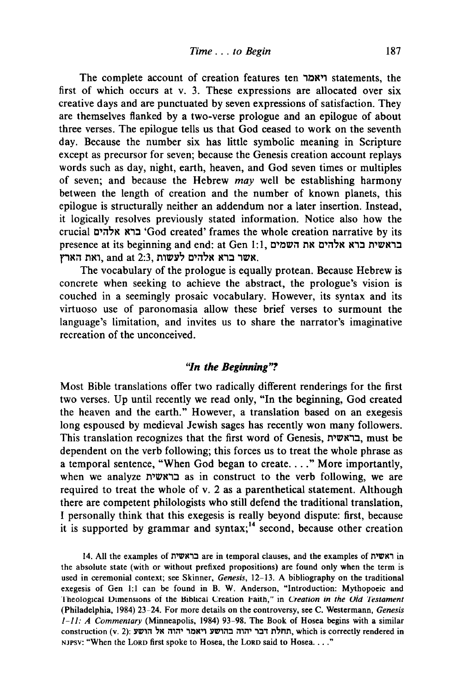The complete account of creation features ten 'יאמר statements, the first of which occurs at v. 3. These expressions are allocated over six creative days and are punctuated by seven expressions of satisfaction. They are themselves flanked by a two-verse prologue and an epilogue of about three verses. The epilogue tells us that God ceased to work on the seventh day. Because the number six has little symbolic meaning in Scripture except as precursor for seven; because the Genesis creation account replays words such as day, night, earth, heaven, and God seven times or multiples of seven; and because the Hebrew may well be establishing harmony between the length of creation and the number of known planets, this epilogue is structurally neither an addendum nor a later insertion. Instead, it logically resolves previously stated information. Notice also how the crucial ברא אלהים 'God created' frames the whole creation narrative by its presence at its beginning and end: at Gen 1:1, בראשית ברא אלהים את השמים אשר ברא אלהים לעשות and at 2:3, אולהים אלהים א

The vocabulary of the prologue is equally protean. Because Hebrew is concrete when seeking to achieve the abstract, the prologue's vision is couched in a seemingly prosaic vocabulary. However, its syntax and its virtuoso use of paronomasia allow these brief verses to surmount the language's limitation, and invites us to share the narrator's imaginative recreation of the unconceived.

# *''In the Beginning"?*

Most Bible translations offer two radically different renderings for the first two verses. Up until recently we read only, "In the beginning, God created the heaven and the earth." However, a translation based on an exegesis long espoused by medieval Jewish sages has recently won many followers. This translation recognizes that the first word of Genesis, בראשית. must be dependent on the verb following; this forces us to treat the whole phrase as a temporal sentence, "When God began to create .... " More importantly, when we analyze בראשית as in construct to the verb following, we are required to treat the whole of v. 2 as a parenthetical statement. Although there are competent philologists who still defend the traditional translation, I personally think that this exegesis is really beyond dispute: first, because it is supported by grammar and syntax;<sup>14</sup> second, because other creation

14. All the examples of בראשית are in temporal clauses, and the examples of n'wm the absolute state (with or without prefixed propositions) are found only when the term is used in ceremonial context; see Skinner, *Genesis,* 12-13. A bibliography on the traditional exegesis of Gen 1:1 can be found in B. W. Anderson, "Introduction: Mythopoeic and Theological Dimensions of the Hiblical Creation Faith," in *Creation in the Old Testament* (Philadelphia, 1984) 23-24. For more details on the controversy, see C. Westermann, *Genesis i-II: A Commentary* (Minneapolis, 1984) 93-98. The Book of Hosea begins with a similar construction (v. 2): הוה אל הושע ויאמר יהוה אל הושע (v. 2): החלת דבר יהוה בהושע ויאמר ו NJPSV: "When the LORD first spoke to Hosea, the LORD said to Hosea .... "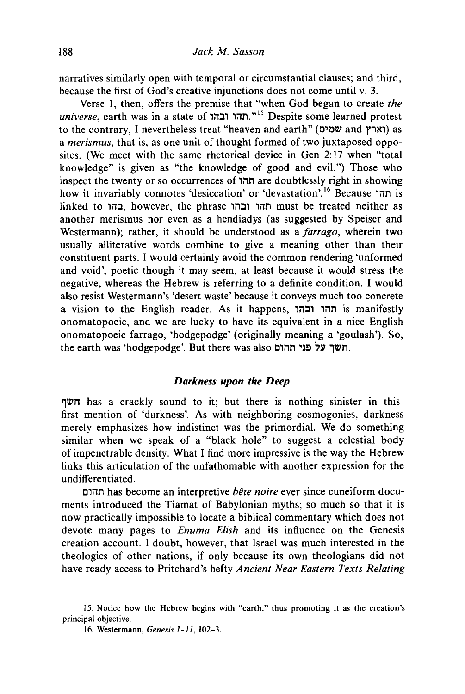narratives similarly open with temporal or circumstantial clauses; and third, because the first of God's creative injunctions does not come until v. 3.

Verse 1, then, offers the premise that "when God began to create *the universe,* earth was in a state of 'il:1' 'iln." 15 Despite some learned protest to the contrary, I nevertheless treat "heaven and earth" (וארץ and נוארץ) as a *merismus,* that is, as one unit of thought formed of two juxtaposed opposites. (We meet with the same rhetorical device in Gen 2: 17 when "total knowledge" is given as "the knowledge of good and evil. ") Those who inspect the twenty or so occurrences of 'iln are doubtlessly right in showing how it invariably connotes 'desiccation' or 'devastation'.<sup>16</sup> Because חהו is linked to בהו, however, the phrase תהו ובהו, must be treated neither as another merismus nor even as a hendiadys (as suggested by Speiser and Westermann); rather, it should be understood as a *farrago,* wherein two usually alliterative words combine to give a meaning other than their constituent parts. I would certainly avoid the common rendering 'unformed and void', poetic though it may seem, at least because it would stress the negative, whereas the Hebrew is referring to a definite condition. I would also resist Westermann's 'desert waste' because it conveys much too concrete a vision to the English reader. As it happens, חהו ובהו is manifestly onomatopoeic, and we are lucky to have its equivalent in a nice English onomatopoeic farrago, 'hodgepodge' (originally meaning a 'goulash'). So, the earth was 'hodgepodge'. But there was also חשך על פני תהום.

# *Darkness upon the Deep*

 $\nabla \Psi$  has a crackly sound to it; but there is nothing sinister in this first mention of 'darkness'. As with neighboring cosmogonies, darkness merely emphasizes how indistinct was the primordial. We do something similar when we speak of a "black hole" to suggest a celestial body of impenetrable density. What I find more impressive is the way the Hebrew links this articulation of the unfathomable with another expression for the undifferentiated.

C'iln has become an interpretive *bete noire* ever since cuneiform documents introduced the Tiamat of Babylonian myths; so much so that it is now practically impossible to locate a biblical commentary which does not devote many pages to *Enuma Elish* and its influence on the Genesis creation account. I doubt, however, that Israel was much interested in the theologies of other nations, if only because its own theologians did not have ready access to Pritchard's hefty *Ancient Near Eastern Texts Relating* 

<sup>15.</sup> Notice how the Hebrew begins with "earth," thus promoting it as the creation's principal objective.

<sup>16.</sup> Westermann, *Genesis l-ll, 102-3.*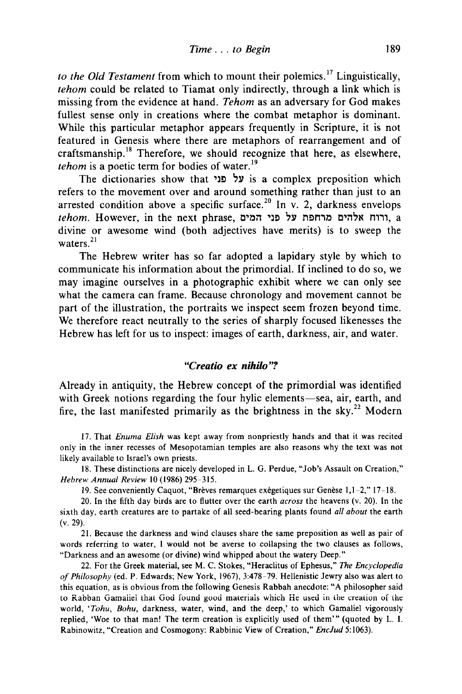*to the Old Testament* from which to mount their polemics. 17 Linguistically, *tehom* could be related to Tiamat only indirectly, through a link which is missing from the evidence at hand. *Tehom* as an adversary for God makes fullest sense only in creations where the combat metaphor is dominant. While this particular metaphor appears frequently in Scripture, it is not featured in Genesis where there are metaphors of rearrangement and of craftsmanship.18 Therefore, we should recognize that here, as elsewhere, *tehom* is a poetic term for bodies of water.<sup>19</sup>

The dictionaries show that 'על פני is a complex preposition which refers to the movement over and around something rather than just to an arrested condition above a specific surface.<sup>20</sup> In v. 2, darkness envelops *tehom.* However, in the next phrase, C'~il 'l~ 'Y n~m~ C'il'N *m,,,* a divine or awesome wind (both adjectives have merits) is to sweep the waters. $^{21}$ 

The Hebrew writer has so far adopted a lapidary style by which to communicate his information about the primordial. If inclined to do so, we may imagine ourselves in a photographic exhibit where we can only see what the camera can frame. Because chronology and movement cannot be part of the illustration, the portraits we inspect seem frozen beyond time. We therefore react neutrally to the series of sharply focused likenesses the Hebrew has left for us to inspect: images of earth, darkness, air, and water.

# *"Creatio ex nihilo"?*

Already in antiquity, the Hebrew concept of the primordial was identified with Greek notions regarding the four hylic elements-sea, air, earth, and fire, the last manifested primarily as the brightness in the sky.<sup>22</sup> Modern

17. That *Enuma Elish* was kept away from nonpriestly hands and that it was recited only in the inner recesses of Mesopotamian temples are also reasons why the text was not likely available to Israel's own priests.

18. These distinctions are nicely developed in L. G. Perdue, "Job's Assault on Creation," *Hebrew Annual Review* IO (1986) 295-315.

19. See conveniently Caquot, "Brèves remarques exégetiques sur Genèse  $1,1-2,$ " 17-18.

20. In the fifth day birds are to flutter over the earth *across* the heavens (v. 20). In the sixth day, earth creatures are to partake of all seed-bearing plants found *all about* the earth (v. 29).

21. Because the darkness and wind clauses share the same preposition as well as pair of words referring to water, I would not be averse to collapsing the two clauses as follows, "Darkness and an awesome (or divine) wind whipped about the watery Deep."

22. For the Greek material, see M. C. Stokes, "Heraclitus of Ephesus," *The Encyclopedia of Philosophy* (ed. P. Edwards; New York, 1967),3:478-79. Hellenistic Jewry also was alert to this equation, as is obvious from the following Genesis Rabbah anecdote: "A philosopher said to Rabban Gamaliel that God found good materials which He used in the creation of the world, *'Tohu, Bohu,* darkness, water, wind, and the deep,' to which Gamaliel vigorously replied, 'Woe to that man! The term creation is explicitly used of them'" (quoted by L. I. Rabinowitz, "Creation and Cosmogony: Rabbinic View of Creation," *EncJud* 5: 1063).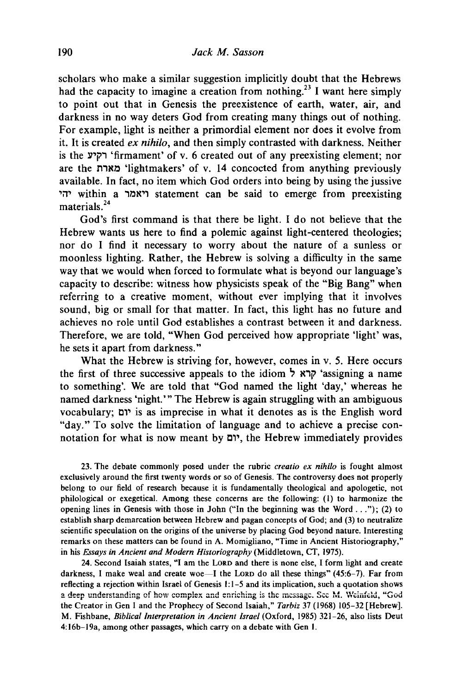scholars who make a similar suggestion implicitly doubt that the Hebrews had the capacity to imagine a creation from nothing.<sup>23</sup> I want here simply to point out that in Genesis the preexistence of earth, water, air, and darkness in no way deters God from creating many things out of nothing. For example, light is neither a primordial element nor does it evolve from it. It is created *ex nihilo,* and then simply contrasted with darkness. Neither is the Y~i" 'firmament' of v. 6 created out of any preexisting element; nor are the מארת 'lightmakers' of v. 14 concocted from anything previously available. In fact, no item which God orders into being by using the jussive ~i1~ within a '~N~' statement can be said to emerge from preexisting materials<sup>24</sup>

God's first command is that there be light. I do not believe that the Hebrew wants us here to find a polemic against light-centered theologies; nor do I find it necessary to worry about the nature of a sunless or moonless lighting. Rather, the Hebrew is solving a difficulty in the same way that we would when forced to formulate what is beyond our language's capacity to describe: witness how physicists speak of the "Big Bang" when referring to a creative moment, without ever implying that it involves sound, big or small for that matter. In fact, this light has no future and achieves no role until God establishes a contrast between it and darkness. Therefore, we are told, "When God perceived how appropriate 'light' was, he sets it apart from darkness."

What the Hebrew is striving for, however, comes in v. 5. Here occurs the first of three successive appeals to the idiom קרא ל<sup>'</sup>assigning a name to something'. We are told that "God named the light 'day,' whereas he named darkness 'night.'" The Hebrew is again struggling with an ambiguous vocabulary; c,~ is as imprecise in what it denotes as is the English word "day." To solve the limitation of language and to achieve a precise connotation for what is now meant by יום, the Hebrew immediately provides

23. The debate commonly posed under the rubric *creatio ex nihilo* is fought almost exclusively around the first twenty words or so of Genesis. The controversy does not properly belong to our field of research because it is fundamentally theological and apologetic, not philological or exegetical. Among these concerns are the following: (I) to harmonize the opening lines in Genesis with those in John ("In the beginning was the Word ... "); (2) to establish sharp demarcation between Hebrew and pagan concepts of God; and (3) to neutralize scientific speculation on the origins of the universe by placing God beyond nature. Interesting remarks on these matters can be found in A. Momigliano, "Time in Ancient Historiography," in his *Essays in Ancient and Modern Historiography* (Middletown, CT, 1975).

24. Second Isaiah states, "I am the LORD and there is none else, I form light and create darkness, I make weal and create woe-I the LORD do all these things" (45:6-7). Far from reflecting a rejection within Israel of Genesis  $1:1-5$  and its implication, such a quotation shows a deep understanding of how complex and enriching is the message. Sec M. Weinfeld, "God the Creator in Gen I and the Prophecy of Second Isaiah," *Tarbiz* 37 (1968) 105-32 [Hebrew]. M. Fishbane, *Biblical Interpretation in Ancient Israel* (Oxford, 1985) 321-26, also lists Deut 4: 16b-19a, among other passages, which carry on a debate with Gen I.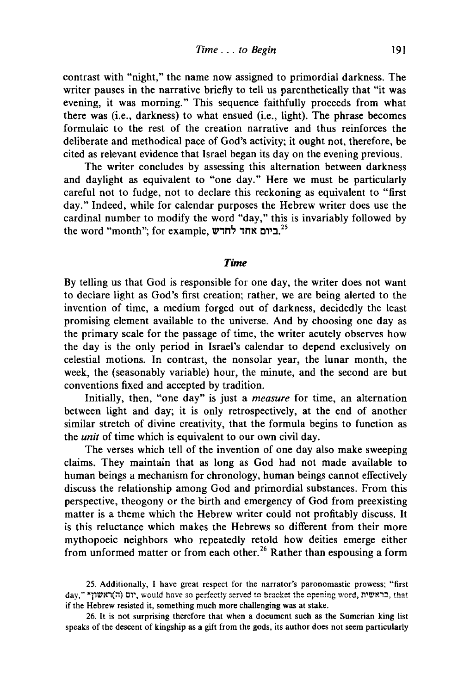contrast with "night," the name now assigned to primordial darkness. The writer pauses in the narrative briefly to tell us parenthetically that "it was evening, it was morning." This sequence faithfully proceeds from what there was (i.e., darkness) to what ensued (i.e., light). The phrase becomes formulaic to the rest of the creation narrative and thus reinforces the deliberate and methodical pace of God's activity; it ought not, therefore, be cited as relevant evidence that Israel began its day on the evening previous.

The writer concludes by assessing this alternation between darkness and daylight as equivalent to "one day." Here we must be particularly careful not to fudge, not to declare this reckoning as equivalent to "first day." Indeed, while for calendar purposes the Hebrew writer does use the cardinal number to modify the word "day," this is invariably followed by the word "month"; for example, ביום אחד לחדש.<sup>25</sup>

#### *Time*

By telling us that God is responsible for one day, the writer does not want to declare light as God's first creation; rather, we are being alerted to the invention of time, a medium forged out of darkness, decidedly the least promising element available to the universe. And by choosing one day as the primary scale for the passage of time, the writer acutely observes how the day is the only period in Israel's calendar to depend exclusively on celestial motions. In contrast, the nonsolar year, the lunar month, the week, the (seasonably variable) hour, the minute, and the second are but conventions fixed and accepted by tradition.

Initially, then, "one day" is just a *measure* for time, an alternation between light and day; it is only retrospectively, at the end of another similar stretch of divine creativity, that the formula begins to function as the *unit* of time which is equivalent to our own civil day.

The verses which tell of the invention of one day also make sweeping claims. They maintain that as long as God had not made available to human beings a mechanism for chronology, human beings cannot effectively discuss the relationship among God and primordial substances. From this perspective, theogony or the birth and emergency of God from preexisting matter is a theme which the Hebrew writer could not profitably discuss. It is this reluctance which makes the Hebrews so different from their more mythopoeic neighbors who repeatedly retold how deities emerge either from unformed matter or from each other.<sup>26</sup> Rather than espousing a form

25. Additionally, I have great respect for the narrator's paronomastic prowess; "first day," "ראשון", would have so perfectly served to bracket the opening word, רום (ה) בראשית. if the Hebrew resisted it, something much more challenging was at stake.

26. It is not surprising therefore that when a document such as the Sumerian king list speaks of the descent of kingship as a gift from the gods, its author does not seem particularly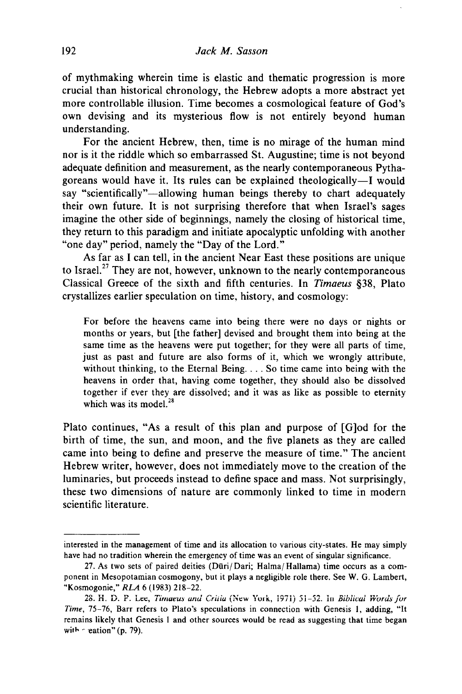of mythmaking wherein time is elastic and thematic progression is more crucial than historical chronology, the Hebrew adopts a more abstract yet more controllable illusion. Time becomes a cosmological feature of God's own devising and its mysterious flow is not entirely beyond human understanding.

For the ancient Hebrew, then, time is no mirage of the human mind nor is it the riddle which so embarrassed St. Augustine; time is not beyond adequate definition and measurement, as the nearly contemporaneous Pythagoreans would have it. Its rules can be explained theologically-I would say "scientifically"—allowing human beings thereby to chart adequately their own future. It is not surprising therefore that when Israel's sages imagine the other side of beginnings, namely the closing of historical time, they return to this paradigm and initiate apocalyptic unfolding with another "one day" period, namely the "Day of the Lord."

As far as I can tell, in the ancient Near East these positions are unique to Israel.<sup>27</sup> They are not, however, unknown to the nearly contemporaneous Classical Greece of the sixth and fifth centuries. In *Timaeus* §38, Plato crystallizes earlier speculation on time, history, and cosmology:

For before the heavens came into being there were no days or nights or months or years, but [the father] devised and brought them into being at the same time as the heavens were put together; for they were all parts of time, just as past and future are also forms of it, which we wrongly attribute, without thinking, to the Eternal Being. . . . So time came into being with the heavens in order that, having come together, they should also be dissolved together if ever they are dissolved; and it was as like as possible to eternity which was its model.<sup>28</sup>

Plato continues, "As a result of this plan and purpose of [G]od for the birth of time, the sun, and moon, and the five planets as they are called came into being to define and preserve the measure of time." The ancient Hebrew writer, however, does not immediately move to the creation of the luminaries, but proceeds instead to define space and mass. Not surprisingly, these two dimensions of nature are commonly linked to time in modern scientific literature.

interested in the management of time and its allocation to various city-states. He may simply have had no tradition wherein the emergency of time was an event of singular significance.

<sup>27.</sup> As two sets of paired deities (Dūri/Dari; Halma/Hallama) time occurs as a component in Mesopotamian cosmogony, but it plays a negligible role there. See W. G. Lambert, "Kosmogonie," RLA 6 (1983) 218–22.<br>28. H. D. P. Lee, *Timaeus and Critia* (New York, 1971) 51–52. In *Biblical Words for* 

*Time,* 75-76, Barr refers to Plato's speculations in connection with Genesis I, adding, "It remains likely that Genesis I and other sources would be read as suggesting that time began with  $\sim$  eation" (p. 79).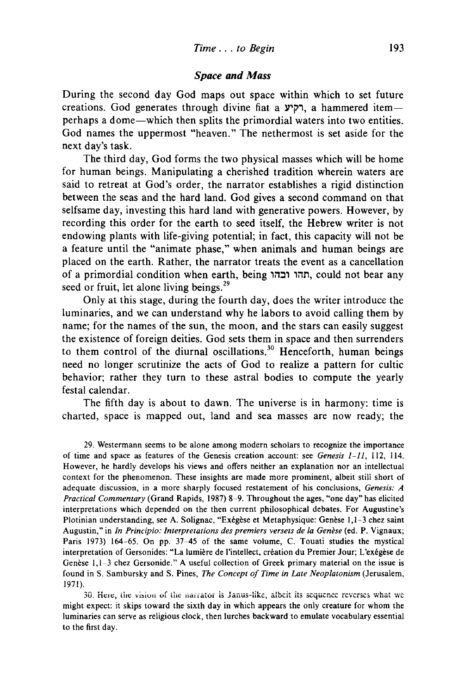#### *Space and Mass*

During the second day God maps out space within which to set future creations. God generates through divine fiat a רקיע, a hammered itemperhaps a dome-which then splits the primordial waters into two entities. God names the uppermost "heaven." The nethermost is set aside for the next day's task.

The third day, God forms the two physical masses which will be home for human beings. Manipulating a cherished tradition wherein waters are said to retreat at God's order, the narrator establishes a rigid distinction between the seas and the hard land. God gives a second command on that selfsame day, investing this hard land with generative powers. However, by recording this order for the earth to seed itself, the Hebrew writer is not endowing plants with life-giving potential; in fact, this capacity will not be a feature until the "animate phase," when animals and human beings are placed on the earth. Rather, the narrator treats the event as a cancellation of a primordial condition when earth, being תהו ובהו, could not bear any seed or fruit, let alone living beings.<sup>29</sup>

Only at this stage, during the fourth day, does the writer introduce the luminaries, and we can understand why he labors to avoid calling them by name; for the names of the sun, the moon, and the stars can easily suggest the existence of foreign deities. God sets them in space and then surrenders to them control of the diurnal oscillations.<sup>30</sup> Henceforth, human beings need no longer scrutinize the acts of God to realize a pattern for cultic behavior; rather they turn to these astral bodies to compute the yearly festal calendar.

The fifth day is about to dawn. The universe is in harmony: time is charted, space is mapped out, land and sea masses are now ready; the

29. Westermann seems to be alone among modern scholars to recognize the importance of time and space as features of the Genesis creation account: see *Genesis* 1-11, 112, 114. However, he hardly develops his views and offers neither an explanation nor an intellectual context for the phenomenon. These insights are made more prominent, albeit stili short of adequate discussion, in a more sharply focused restatement of his conclusions, *Genesis: A Practical Commentary* (Grand Rapids, 1987) 8~9. Throughout the ages, "one day" has elicited interpretations which depended on the then current philosophical debates. For Augustine's Plotinian understanding, see A. Solignac, "Exégèse et Metaphysique: Genèse 1,1-3 chez saint Augustin," in *In Principio: Interpretations des premiers versets de la Genese* (ed. P. Vignaux; Paris 1973) 164-65. On pp. 37-45 of the same volume, C. Touati studies the mystical interpretation of Gersonides: "La lumiere de l'intellect, creation du Premier Jour; L'exegese de Genèse 1,1-3 chez Gersonide." A useful collection of Greek primary material on the issue is found in S. Sambursky and S. Pines, *The Concept of Time in Late Neoplatonism* (Jerusalem, 1971).

30. Here, the vision of the narrator is Janus-like, albeit its sequence reverses what we might expect: it skips toward the sixth day in which appears the only creature for whom the luminaries can serve as religious clock, then lurches backward to emulate vocabulary essential to the first day.